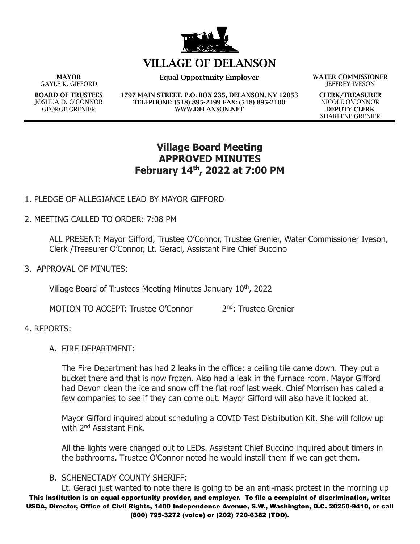

# **VILLAGE OF DELANSON**

**MAYOR** GAYLE K. GIFFORD

**BOARD OF TRUSTEES** JOSHUA D. O'CONNOR GEORGE GRENIER

**Equal Opportunity Employer WATER COMMISSIONER**

**1797 MAIN STREET, P.O. BOX 235, DELANSON, NY 12053 TELEPHONE: (518) 895-2199 FAX: (518) 895-2100 WWW.DELANSON.NET**

JEFFREY IVESON

**CLERK/TREASURER** NICOLE O'CONNOR **DEPUTY CLERK** SHARLENE GRENIER

## **Village Board Meeting APPROVED MINUTES February 14th, 2022 at 7:00 PM**

## 1. PLEDGE OF ALLEGIANCE LEAD BY MAYOR GIFFORD

2. MEETING CALLED TO ORDER: 7:08 PM

ALL PRESENT: Mayor Gifford, Trustee O'Connor, Trustee Grenier, Water Commissioner Iveson, Clerk /Treasurer O'Connor, Lt. Geraci, Assistant Fire Chief Buccino

3. APPROVAL OF MINUTES:

Village Board of Trustees Meeting Minutes January 10<sup>th</sup>, 2022

MOTION TO ACCEPT: Trustee O'Connor 2<sup>nd</sup>: Trustee Grenier

### 4. REPORTS:

A. FIRE DEPARTMENT:

The Fire Department has had 2 leaks in the office; a ceiling tile came down. They put a bucket there and that is now frozen. Also had a leak in the furnace room. Mayor Gifford had Devon clean the ice and snow off the flat roof last week. Chief Morrison has called a few companies to see if they can come out. Mayor Gifford will also have it looked at.

Mayor Gifford inquired about scheduling a COVID Test Distribution Kit. She will follow up with 2<sup>nd</sup> Assistant Fink.

All the lights were changed out to LEDs. Assistant Chief Buccino inquired about timers in the bathrooms. Trustee O'Connor noted he would install them if we can get them.

### B. SCHENECTADY COUNTY SHERIFF:

This institution is an equal opportunity provider, and employer. To file a complaint of discrimination, write: USDA, Director, Office of Civil Rights, 1400 Independence Avenue, S.W., Washington, D.C. 20250-9410, or call (800) 795-3272 (voice) or (202) 720-6382 (TDD). Lt. Geraci just wanted to note there is going to be an anti-mask protest in the morning up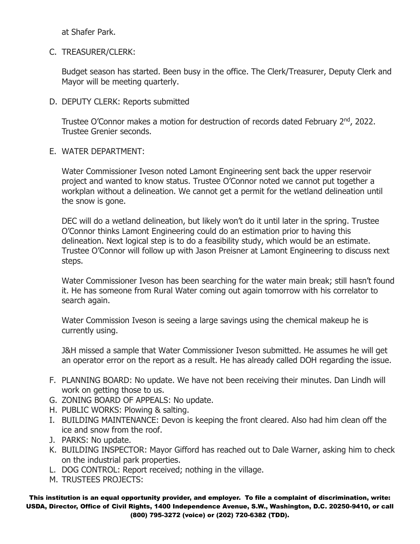at Shafer Park.

C. TREASURER/CLERK:

Budget season has started. Been busy in the office. The Clerk/Treasurer, Deputy Clerk and Mayor will be meeting quarterly.

D. DEPUTY CLERK: Reports submitted

Trustee O'Connor makes a motion for destruction of records dated February 2<sup>nd</sup>, 2022. Trustee Grenier seconds.

E. WATER DEPARTMENT:

Water Commissioner Iveson noted Lamont Engineering sent back the upper reservoir project and wanted to know status. Trustee O'Connor noted we cannot put together a workplan without a delineation. We cannot get a permit for the wetland delineation until the snow is gone.

DEC will do a wetland delineation, but likely won't do it until later in the spring. Trustee O'Connor thinks Lamont Engineering could do an estimation prior to having this delineation. Next logical step is to do a feasibility study, which would be an estimate. Trustee O'Connor will follow up with Jason Preisner at Lamont Engineering to discuss next steps.

Water Commissioner Iveson has been searching for the water main break; still hasn't found it. He has someone from Rural Water coming out again tomorrow with his correlator to search again.

Water Commission Iveson is seeing a large savings using the chemical makeup he is currently using.

J&H missed a sample that Water Commissioner Iveson submitted. He assumes he will get an operator error on the report as a result. He has already called DOH regarding the issue.

- F. PLANNING BOARD: No update. We have not been receiving their minutes. Dan Lindh will work on getting those to us.
- G. ZONING BOARD OF APPEALS: No update.
- H. PUBLIC WORKS: Plowing & salting.
- I. BUILDING MAINTENANCE: Devon is keeping the front cleared. Also had him clean off the ice and snow from the roof.
- J. PARKS: No update.
- K. BUILDING INSPECTOR: Mayor Gifford has reached out to Dale Warner, asking him to check on the industrial park properties.
- L. DOG CONTROL: Report received; nothing in the village.
- M. TRUSTEES PROJECTS:

This institution is an equal opportunity provider, and employer. To file a complaint of discrimination, write: USDA, Director, Office of Civil Rights, 1400 Independence Avenue, S.W., Washington, D.C. 20250-9410, or call (800) 795-3272 (voice) or (202) 720-6382 (TDD).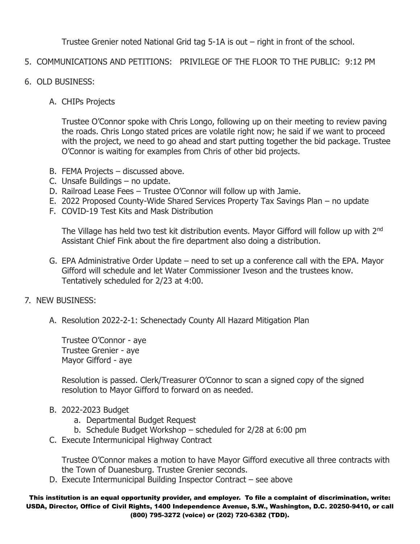Trustee Grenier noted National Grid tag 5-1A is out – right in front of the school.

- 5. COMMUNICATIONS AND PETITIONS: PRIVILEGE OF THE FLOOR TO THE PUBLIC: 9:12 PM
- 6. OLD BUSINESS:
	- A. CHIPs Projects

Trustee O'Connor spoke with Chris Longo, following up on their meeting to review paving the roads. Chris Longo stated prices are volatile right now; he said if we want to proceed with the project, we need to go ahead and start putting together the bid package. Trustee O'Connor is waiting for examples from Chris of other bid projects.

- B. FEMA Projects discussed above.
- C. Unsafe Buildings no update.
- D. Railroad Lease Fees Trustee O'Connor will follow up with Jamie.
- E. 2022 Proposed County-Wide Shared Services Property Tax Savings Plan no update
- F. COVID-19 Test Kits and Mask Distribution

The Village has held two test kit distribution events. Mayor Gifford will follow up with 2<sup>nd</sup> Assistant Chief Fink about the fire department also doing a distribution.

- G. EPA Administrative Order Update need to set up a conference call with the EPA. Mayor Gifford will schedule and let Water Commissioner Iveson and the trustees know. Tentatively scheduled for 2/23 at 4:00.
- 7. NEW BUSINESS:
	- A. Resolution 2022-2-1: Schenectady County All Hazard Mitigation Plan

Trustee O'Connor - aye Trustee Grenier - aye Mayor Gifford - aye

Resolution is passed. Clerk/Treasurer O'Connor to scan a signed copy of the signed resolution to Mayor Gifford to forward on as needed.

- B. 2022-2023 Budget
	- a. Departmental Budget Request
	- b. Schedule Budget Workshop scheduled for 2/28 at 6:00 pm
- C. Execute Intermunicipal Highway Contract

Trustee O'Connor makes a motion to have Mayor Gifford executive all three contracts with the Town of Duanesburg. Trustee Grenier seconds.

D. Execute Intermunicipal Building Inspector Contract – see above

This institution is an equal opportunity provider, and employer. To file a complaint of discrimination, write: USDA, Director, Office of Civil Rights, 1400 Independence Avenue, S.W., Washington, D.C. 20250-9410, or call (800) 795-3272 (voice) or (202) 720-6382 (TDD).